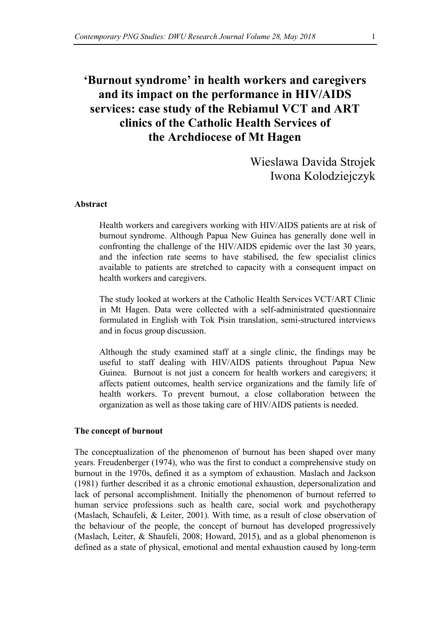# **'Burnout syndrome' in health workers and caregivers and its impact on the performance in HIV/AIDS services: case study of the Rebiamul VCT and ART clinics of the Catholic Health Services of the Archdiocese of Mt Hagen**

Wieslawa Davida Strojek Iwona Kolodziejczyk

#### **Abstract**

Health workers and caregivers working with HIV/AIDS patients are at risk of burnout syndrome. Although Papua New Guinea has generally done well in confronting the challenge of the HIV/AIDS epidemic over the last 30 years, and the infection rate seems to have stabilised, the few specialist clinics available to patients are stretched to capacity with a consequent impact on health workers and caregivers.

The study looked at workers at the Catholic Health Services VCT/ART Clinic in Mt Hagen. Data were collected with a self-administrated questionnaire formulated in English with Tok Pisin translation, semi-structured interviews and in focus group discussion.

Although the study examined staff at a single clinic, the findings may be useful to staff dealing with HIV/AIDS patients throughout Papua New Guinea. Burnout is not just a concern for health workers and caregivers; it affects patient outcomes, health service organizations and the family life of health workers. To prevent burnout, a close collaboration between the organization as well as those taking care of HIV/AIDS patients is needed.

#### **The concept of burnout**

The conceptualization of the phenomenon of burnout has been shaped over many years. Freudenberger (1974), who was the first to conduct a comprehensive study on burnout in the 1970s, defined it as a symptom of exhaustion. Maslach and Jackson (1981) further described it as a chronic emotional exhaustion, depersonalization and lack of personal accomplishment. Initially the phenomenon of burnout referred to human service professions such as health care, social work and psychotherapy (Maslach, Schaufeli, & Leiter, 2001). With time, as a result of close observation of the behaviour of the people, the concept of burnout has developed progressively (Maslach, Leiter, & Shaufeli, 2008; Howard, 2015), and as a global phenomenon is defined as a state of physical, emotional and mental exhaustion caused by long-term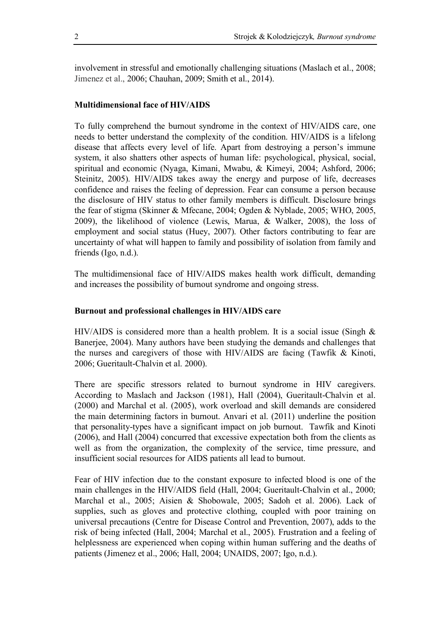involvement in stressful and emotionally challenging situations (Maslach et al., 2008; Jimenez et al., 2006; Chauhan, 2009; Smith et al., 2014).

## **Multidimensional face of HIV/AIDS**

To fully comprehend the burnout syndrome in the context of HIV/AIDS care, one needs to better understand the complexity of the condition. HIV/AIDS is a lifelong disease that affects every level of life. Apart from destroying a person's immune system, it also shatters other aspects of human life: psychological, physical, social, spiritual and economic (Nyaga, Kimani, Mwabu, & Kimeyi, 2004; Ashford, 2006; Steinitz, 2005). HIV/AIDS takes away the energy and purpose of life, decreases confidence and raises the feeling of depression. Fear can consume a person because the disclosure of HIV status to other family members is difficult. Disclosure brings the fear of stigma (Skinner & Mfecane, 2004; Ogden & Nyblade, 2005; WHO, 2005, 2009), the likelihood of violence (Lewis, Marua, & Walker, 2008), the loss of employment and social status (Huey, 2007). Other factors contributing to fear are uncertainty of what will happen to family and possibility of isolation from family and friends (Igo, n.d.).

The multidimensional face of HIV/AIDS makes health work difficult, demanding and increases the possibility of burnout syndrome and ongoing stress.

## **Burnout and professional challenges in HIV/AIDS care**

HIV/AIDS is considered more than a health problem. It is a social issue (Singh  $\&$ Banerjee, 2004). Many authors have been studying the demands and challenges that the nurses and caregivers of those with HIV/AIDS are facing (Tawfik & Kinoti, 2006; Gueritault-Chalvin et al. 2000).

There are specific stressors related to burnout syndrome in HIV caregivers. According to Maslach and Jackson (1981), Hall (2004), Gueritault-Chalvin et al. (2000) and Marchal et al. (2005), work overload and skill demands are considered the main determining factors in burnout. Anvari et al. (2011) underline the position that personality-types have a significant impact on job burnout. Tawfik and Kinoti (2006), and Hall (2004) concurred that excessive expectation both from the clients as well as from the organization, the complexity of the service, time pressure, and insufficient social resources for AIDS patients all lead to burnout.

Fear of HIV infection due to the constant exposure to infected blood is one of the main challenges in the HIV/AIDS field (Hall, 2004; Gueritault-Chalvin et al., 2000; Marchal et al., 2005; Aisien & Shobowale, 2005; Sadoh et al. 2006). Lack of supplies, such as gloves and protective clothing, coupled with poor training on universal precautions (Centre for Disease Control and Prevention, 2007), adds to the risk of being infected (Hall, 2004; Marchal et al., 2005). Frustration and a feeling of helplessness are experienced when coping within human suffering and the deaths of patients (Jimenez et al., 2006; Hall, 2004; UNAIDS, 2007; Igo, n.d.).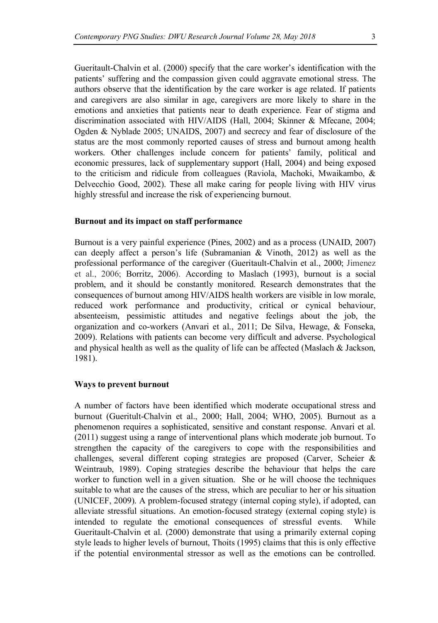Gueritault-Chalvin et al. (2000) specify that the care worker's identification with the patients' suffering and the compassion given could aggravate emotional stress. The authors observe that the identification by the care worker is age related. If patients and caregivers are also similar in age, caregivers are more likely to share in the emotions and anxieties that patients near to death experience. Fear of stigma and discrimination associated with HIV/AIDS (Hall, 2004; Skinner & Mfecane, 2004; Ogden & Nyblade 2005; UNAIDS, 2007) and secrecy and fear of disclosure of the status are the most commonly reported causes of stress and burnout among health workers. Other challenges include concern for patients' family, political and economic pressures, lack of supplementary support (Hall, 2004) and being exposed to the criticism and ridicule from colleagues (Raviola, Machoki, Mwaikambo, & Delvecchio Good, 2002). These all make caring for people living with HIV virus highly stressful and increase the risk of experiencing burnout.

#### **Burnout and its impact on staff performance**

Burnout is a very painful experience (Pines, 2002) and as a process (UNAID, 2007) can deeply affect a person's life (Subramanian & Vinoth, 2012) as well as the professional performance of the caregiver (Gueritault-Chalvin et al., 2000; Jimenez et al., 2006; Borritz, 2006). According to Maslach (1993), burnout is a social problem, and it should be constantly monitored. Research demonstrates that the consequences of burnout among HIV/AIDS health workers are visible in low morale, reduced work performance and productivity, critical or cynical behaviour, absenteeism, pessimistic attitudes and negative feelings about the job, the organization and co-workers (Anvari et al., 2011; De Silva, Hewage, & Fonseka, 2009). Relations with patients can become very difficult and adverse. Psychological and physical health as well as the quality of life can be affected (Maslach & Jackson, 1981).

#### **Ways to prevent burnout**

A number of factors have been identified which moderate occupational stress and burnout (Gueritult-Chalvin et al., 2000; Hall, 2004; WHO, 2005). Burnout as a phenomenon requires a sophisticated, sensitive and constant response. Anvari et al. (2011) suggest using a range of interventional plans which moderate job burnout. To strengthen the capacity of the caregivers to cope with the responsibilities and challenges, several different coping strategies are proposed (Carver, Scheier & Weintraub, 1989). Coping strategies describe the behaviour that helps the care worker to function well in a given situation. She or he will choose the techniques suitable to what are the causes of the stress, which are peculiar to her or his situation (UNICEF, 2009). A problem-focused strategy (internal coping style), if adopted, can alleviate stressful situations. An emotion-focused strategy (external coping style) is intended to regulate the emotional consequences of stressful events. While Gueritault-Chalvin et al. (2000) demonstrate that using a primarily external coping style leads to higher levels of burnout, Thoits (1995) claims that this is only effective if the potential environmental stressor as well as the emotions can be controlled.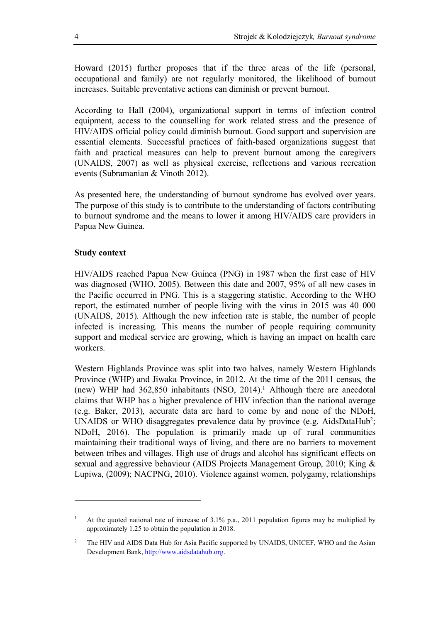Howard (2015) further proposes that if the three areas of the life (personal, occupational and family) are not regularly monitored, the likelihood of burnout increases. Suitable preventative actions can diminish or prevent burnout.

According to Hall (2004), organizational support in terms of infection control equipment, access to the counselling for work related stress and the presence of HIV/AIDS official policy could diminish burnout. Good support and supervision are essential elements. Successful practices of faith-based organizations suggest that faith and practical measures can help to prevent burnout among the caregivers (UNAIDS, 2007) as well as physical exercise, reflections and various recreation events (Subramanian & Vinoth 2012).

As presented here, the understanding of burnout syndrome has evolved over years. The purpose of this study is to contribute to the understanding of factors contributing to burnout syndrome and the means to lower it among HIV/AIDS care providers in Papua New Guinea.

## **Study context**

l

HIV/AIDS reached Papua New Guinea (PNG) in 1987 when the first case of HIV was diagnosed (WHO, 2005). Between this date and 2007, 95% of all new cases in the Pacific occurred in PNG. This is a staggering statistic. According to the WHO report, the estimated number of people living with the virus in 2015 was 40 000 (UNAIDS, 2015). Although the new infection rate is stable, the number of people infected is increasing. This means the number of people requiring community support and medical service are growing, which is having an impact on health care workers.

Western Highlands Province was split into two halves, namely Western Highlands Province (WHP) and Jiwaka Province, in 2012. At the time of the 2011 census, the (new) WHP had  $362,850$  inhabitants (NSO, 2014).<sup>1</sup> Although there are anecdotal claims that WHP has a higher prevalence of HIV infection than the national average (e.g. Baker, 2013), accurate data are hard to come by and none of the NDoH, UNAIDS or WHO disaggregates prevalence data by province (e.g. AidsDataHub<sup>2</sup>; NDoH, 2016). The population is primarily made up of rural communities maintaining their traditional ways of living, and there are no barriers to movement between tribes and villages. High use of drugs and alcohol has significant effects on sexual and aggressive behaviour (AIDS Projects Management Group, 2010; King & Lupiwa, (2009); NACPNG, 2010). Violence against women, polygamy, relationships

<sup>&</sup>lt;sup>1</sup> At the quoted national rate of increase of 3.1% p.a., 2011 population figures may be multiplied by approximately 1.25 to obtain the population in 2018.

<sup>&</sup>lt;sup>2</sup> The HIV and AIDS Data Hub for Asia Pacific supported by UNAIDS, UNICEF, WHO and the Asian Development Bank, http://www.aidsdatahub.org.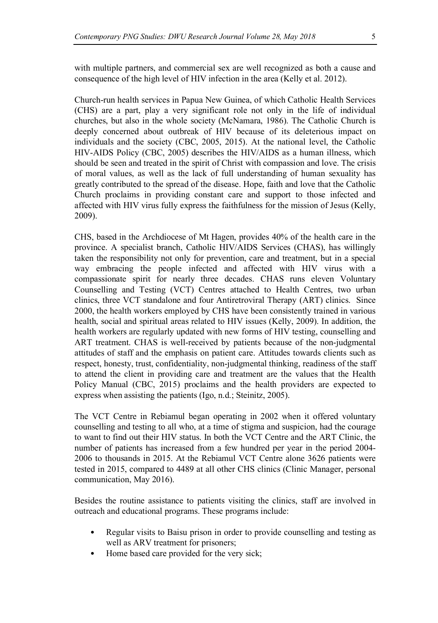with multiple partners, and commercial sex are well recognized as both a cause and consequence of the high level of HIV infection in the area (Kelly et al. 2012).

Church-run health services in Papua New Guinea, of which Catholic Health Services (CHS) are a part, play a very significant role not only in the life of individual churches, but also in the whole society (McNamara, 1986). The Catholic Church is deeply concerned about outbreak of HIV because of its deleterious impact on individuals and the society (CBC, 2005, 2015). At the national level, the Catholic HIV-AIDS Policy (CBC, 2005) describes the HIV/AIDS as a human illness, which should be seen and treated in the spirit of Christ with compassion and love. The crisis of moral values, as well as the lack of full understanding of human sexuality has greatly contributed to the spread of the disease. Hope, faith and love that the Catholic Church proclaims in providing constant care and support to those infected and affected with HIV virus fully express the faithfulness for the mission of Jesus (Kelly, 2009).

CHS, based in the Archdiocese of Mt Hagen, provides 40% of the health care in the province. A specialist branch, Catholic HIV/AIDS Services (CHAS), has willingly taken the responsibility not only for prevention, care and treatment, but in a special way embracing the people infected and affected with HIV virus with a compassionate spirit for nearly three decades. CHAS runs eleven Voluntary Counselling and Testing (VCT) Centres attached to Health Centres, two urban clinics, three VCT standalone and four Antiretroviral Therapy (ART) clinics. Since 2000, the health workers employed by CHS have been consistently trained in various health, social and spiritual areas related to HIV issues (Kelly, 2009). In addition, the health workers are regularly updated with new forms of HIV testing, counselling and ART treatment. CHAS is well-received by patients because of the non-judgmental attitudes of staff and the emphasis on patient care. Attitudes towards clients such as respect, honesty, trust, confidentiality, non-judgmental thinking, readiness of the staff to attend the client in providing care and treatment are the values that the Health Policy Manual (CBC, 2015) proclaims and the health providers are expected to express when assisting the patients (Igo, n.d.; Steinitz, 2005).

The VCT Centre in Rebiamul began operating in 2002 when it offered voluntary counselling and testing to all who, at a time of stigma and suspicion, had the courage to want to find out their HIV status. In both the VCT Centre and the ART Clinic, the number of patients has increased from a few hundred per year in the period 2004- 2006 to thousands in 2015. At the Rebiamul VCT Centre alone 3626 patients were tested in 2015, compared to 4489 at all other CHS clinics (Clinic Manager, personal communication, May 2016).

Besides the routine assistance to patients visiting the clinics, staff are involved in outreach and educational programs. These programs include:

- Regular visits to Baisu prison in order to provide counselling and testing as well as ARV treatment for prisoners;
- Home based care provided for the very sick;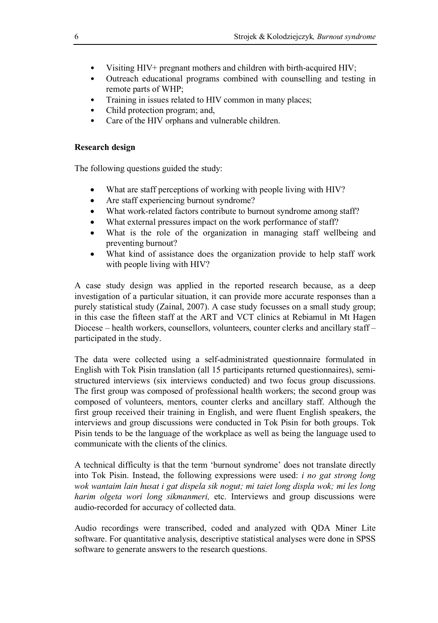- Visiting HIV+ pregnant mothers and children with birth-acquired HIV;
- Outreach educational programs combined with counselling and testing in remote parts of WHP;
- Training in issues related to HIV common in many places;
- Child protection program; and,
- Care of the HIV orphans and vulnerable children.

## **Research design**

The following questions guided the study:

- What are staff perceptions of working with people living with HIV?
- Are staff experiencing burnout syndrome?
- What work-related factors contribute to burnout syndrome among staff?
- What external pressures impact on the work performance of staff?
- What is the role of the organization in managing staff wellbeing and preventing burnout?
- What kind of assistance does the organization provide to help staff work with people living with HIV?

A case study design was applied in the reported research because, as a deep investigation of a particular situation, it can provide more accurate responses than a purely statistical study (Zainal, 2007). A case study focusses on a small study group; in this case the fifteen staff at the ART and VCT clinics at Rebiamul in Mt Hagen Diocese – health workers, counsellors, volunteers, counter clerks and ancillary staff – participated in the study.

The data were collected using a self-administrated questionnaire formulated in English with Tok Pisin translation (all 15 participants returned questionnaires), semistructured interviews (six interviews conducted) and two focus group discussions. The first group was composed of professional health workers; the second group was composed of volunteers, mentors, counter clerks and ancillary staff. Although the first group received their training in English, and were fluent English speakers, the interviews and group discussions were conducted in Tok Pisin for both groups. Tok Pisin tends to be the language of the workplace as well as being the language used to communicate with the clients of the clinics.

A technical difficulty is that the term 'burnout syndrome' does not translate directly into Tok Pisin. Instead, the following expressions were used: *i no gat strong long wok wantaim lain husat i gat dispela sik nogut; mi taiet long displa wok; mi les long harim olgeta wori long sikmanmeri,* etc. Interviews and group discussions were audio-recorded for accuracy of collected data.

Audio recordings were transcribed, coded and analyzed with QDA Miner Lite software. For quantitative analysis, descriptive statistical analyses were done in SPSS software to generate answers to the research questions.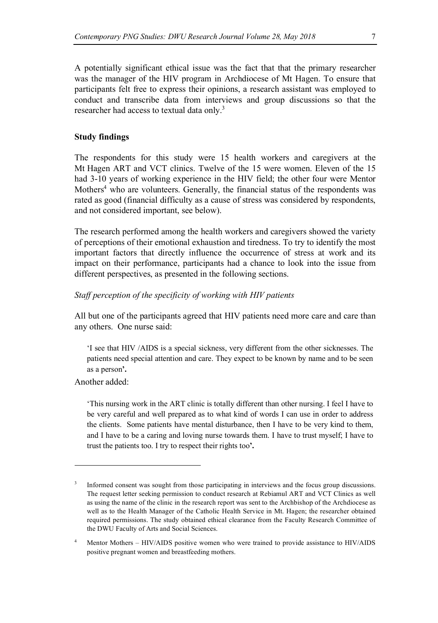A potentially significant ethical issue was the fact that that the primary researcher was the manager of the HIV program in Archdiocese of Mt Hagen. To ensure that participants felt free to express their opinions, a research assistant was employed to conduct and transcribe data from interviews and group discussions so that the researcher had access to textual data only.3

#### **Study findings**

The respondents for this study were 15 health workers and caregivers at the Mt Hagen ART and VCT clinics. Twelve of the 15 were women. Eleven of the 15 had 3-10 years of working experience in the HIV field; the other four were Mentor Mothers<sup>4</sup> who are volunteers. Generally, the financial status of the respondents was rated as good (financial difficulty as a cause of stress was considered by respondents, and not considered important, see below).

The research performed among the health workers and caregivers showed the variety of perceptions of their emotional exhaustion and tiredness. To try to identify the most important factors that directly influence the occurrence of stress at work and its impact on their performance, participants had a chance to look into the issue from different perspectives, as presented in the following sections.

#### *Staff perception of the specificity of working with HIV patients*

All but one of the participants agreed that HIV patients need more care and care than any others. One nurse said:

'I see that HIV /AIDS is a special sickness, very different from the other sicknesses. The patients need special attention and care. They expect to be known by name and to be seen as a person**'.**

Another added:

l

'This nursing work in the ART clinic is totally different than other nursing. I feel I have to be very careful and well prepared as to what kind of words I can use in order to address the clients. Some patients have mental disturbance, then I have to be very kind to them, and I have to be a caring and loving nurse towards them. I have to trust myself; I have to trust the patients too. I try to respect their rights too**'.** 

Informed consent was sought from those participating in interviews and the focus group discussions. The request letter seeking permission to conduct research at Rebiamul ART and VCT Clinics as well as using the name of the clinic in the research report was sent to the Archbishop of the Archdiocese as well as to the Health Manager of the Catholic Health Service in Mt. Hagen; the researcher obtained required permissions. The study obtained ethical clearance from the Faculty Research Committee of the DWU Faculty of Arts and Social Sciences.

<sup>&</sup>lt;sup>4</sup> Mentor Mothers – HIV/AIDS positive women who were trained to provide assistance to HIV/AIDS positive pregnant women and breastfeeding mothers.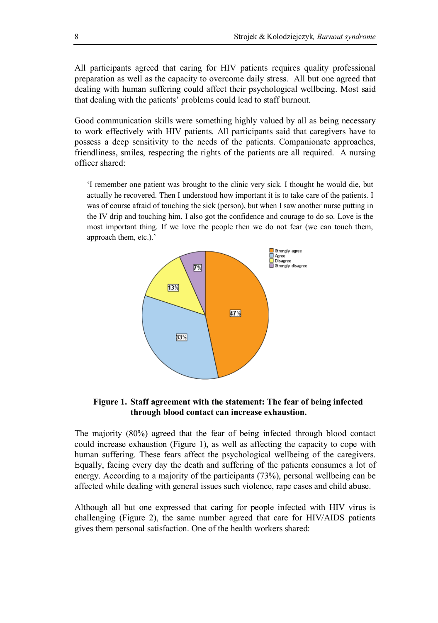All participants agreed that caring for HIV patients requires quality professional preparation as well as the capacity to overcome daily stress. All but one agreed that dealing with human suffering could affect their psychological wellbeing. Most said that dealing with the patients' problems could lead to staff burnout.

Good communication skills were something highly valued by all as being necessary to work effectively with HIV patients. All participants said that caregivers have to possess a deep sensitivity to the needs of the patients. Companionate approaches, friendliness, smiles, respecting the rights of the patients are all required. A nursing officer shared:

'I remember one patient was brought to the clinic very sick. I thought he would die, but actually he recovered. Then I understood how important it is to take care of the patients. I was of course afraid of touching the sick (person), but when I saw another nurse putting in the IV drip and touching him, I also got the confidence and courage to do so. Love is the most important thing. If we love the people then we do not fear (we can touch them, approach them, etc.).'



#### **Figure 1. Staff agreement with the statement: The fear of being infected through blood contact can increase exhaustion.**

The majority (80%) agreed that the fear of being infected through blood contact could increase exhaustion (Figure 1), as well as affecting the capacity to cope with human suffering. These fears affect the psychological wellbeing of the caregivers. Equally, facing every day the death and suffering of the patients consumes a lot of energy. According to a majority of the participants (73%), personal wellbeing can be affected while dealing with general issues such violence, rape cases and child abuse.

Although all but one expressed that caring for people infected with HIV virus is challenging (Figure 2), the same number agreed that care for HIV/AIDS patients gives them personal satisfaction. One of the health workers shared: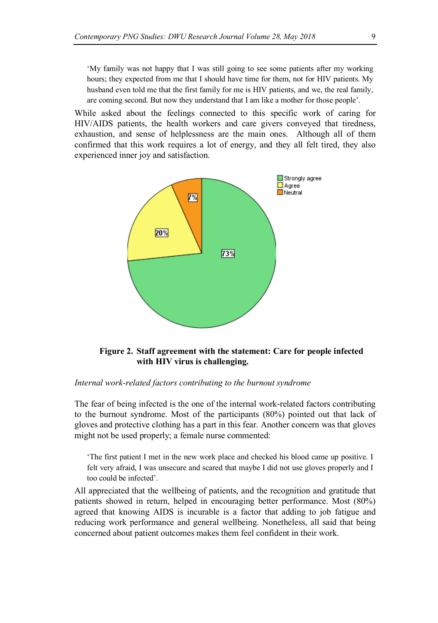'My family was not happy that I was still going to see some patients after my working hours; they expected from me that I should have time for them, not for HIV patients. My husband even told me that the first family for me is HIV patients, and we, the real family, are coming second. But now they understand that I am like a mother for those people'.

While asked about the feelings connected to this specific work of caring for HIV/AIDS patients, the health workers and care givers conveyed that tiredness, exhaustion, and sense of helplessness are the main ones. Although all of them confirmed that this work requires a lot of energy, and they all felt tired, they also experienced inner joy and satisfaction.



**Figure 2. Staff agreement with the statement: Care for people infected with HIV virus is challenging.**

#### *Internal work-related factors contributing to the burnout syndrome*

The fear of being infected is the one of the internal work-related factors contributing to the burnout syndrome. Most of the participants (80%) pointed out that lack of gloves and protective clothing has a part in this fear. Another concern was that gloves might not be used properly; a female nurse commented:

'The first patient I met in the new work place and checked his blood came up positive. I felt very afraid, I was unsecure and scared that maybe I did not use gloves properly and I too could be infected'.

All appreciated that the wellbeing of patients, and the recognition and gratitude that patients showed in return, helped in encouraging better performance. Most (80%) agreed that knowing AIDS is incurable is a factor that adding to job fatigue and reducing work performance and general wellbeing. Nonetheless, all said that being concerned about patient outcomes makes them feel confident in their work.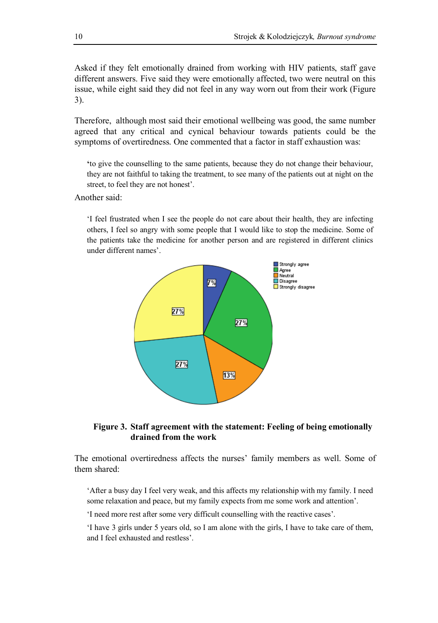Asked if they felt emotionally drained from working with HIV patients, staff gave different answers. Five said they were emotionally affected, two were neutral on this issue, while eight said they did not feel in any way worn out from their work (Figure 3).

Therefore, although most said their emotional wellbeing was good, the same number agreed that any critical and cynical behaviour towards patients could be the symptoms of overtiredness. One commented that a factor in staff exhaustion was:

**'**to give the counselling to the same patients, because they do not change their behaviour, they are not faithful to taking the treatment, to see many of the patients out at night on the street, to feel they are not honest'.

Another said:

'I feel frustrated when I see the people do not care about their health, they are infecting others, I feel so angry with some people that I would like to stop the medicine. Some of the patients take the medicine for another person and are registered in different clinics under different names'.



## **Figure 3. Staff agreement with the statement: Feeling of being emotionally drained from the work**

The emotional overtiredness affects the nurses' family members as well. Some of them shared:

'After a busy day I feel very weak, and this affects my relationship with my family. I need some relaxation and peace, but my family expects from me some work and attention'.

'I need more rest after some very difficult counselling with the reactive cases'.

'I have 3 girls under 5 years old, so I am alone with the girls, I have to take care of them, and I feel exhausted and restless'.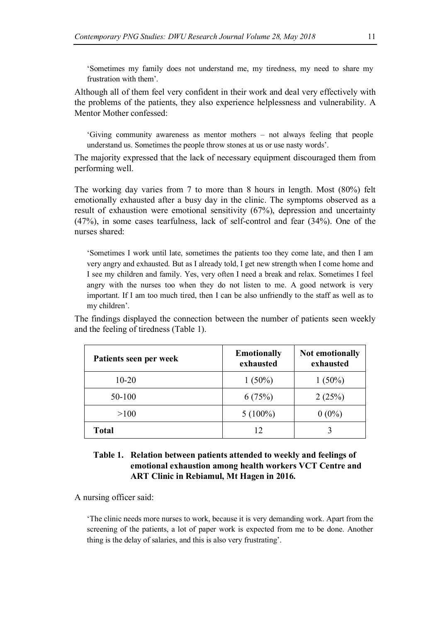'Sometimes my family does not understand me, my tiredness, my need to share my frustration with them'.

Although all of them feel very confident in their work and deal very effectively with the problems of the patients, they also experience helplessness and vulnerability. A Mentor Mother confessed:

'Giving community awareness as mentor mothers – not always feeling that people understand us. Sometimes the people throw stones at us or use nasty words'.

The majority expressed that the lack of necessary equipment discouraged them from performing well.

The working day varies from 7 to more than 8 hours in length. Most (80%) felt emotionally exhausted after a busy day in the clinic. The symptoms observed as a result of exhaustion were emotional sensitivity (67%), depression and uncertainty (47%), in some cases tearfulness, lack of self-control and fear (34%). One of the nurses shared:

'Sometimes I work until late, sometimes the patients too they come late, and then I am very angry and exhausted. But as I already told, I get new strength when I come home and I see my children and family. Yes, very often I need a break and relax. Sometimes I feel angry with the nurses too when they do not listen to me. A good network is very important. If I am too much tired, then I can be also unfriendly to the staff as well as to my children'.

The findings displayed the connection between the number of patients seen weekly and the feeling of tiredness (Table 1).

| Patients seen per week | <b>Emotionally</b><br>exhausted | Not emotionally<br>exhausted |
|------------------------|---------------------------------|------------------------------|
| $10-20$                | $1(50\%)$                       | $1(50\%)$                    |
| 50-100                 | 6(75%)                          | 2(25%)                       |
| >100                   | $5(100\%)$                      | $0(0\%)$                     |
| Total                  | 12                              |                              |

## **Table 1. Relation between patients attended to weekly and feelings of emotional exhaustion among health workers VCT Centre and ART Clinic in Rebiamul, Mt Hagen in 2016.**

A nursing officer said:

'The clinic needs more nurses to work, because it is very demanding work. Apart from the screening of the patients, a lot of paper work is expected from me to be done. Another thing is the delay of salaries, and this is also very frustrating'.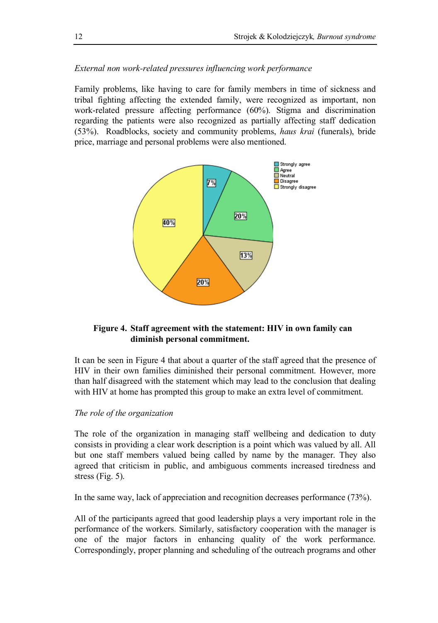## *External non work-related pressures influencing work performance*

Family problems, like having to care for family members in time of sickness and tribal fighting affecting the extended family, were recognized as important, non work-related pressure affecting performance (60%). Stigma and discrimination regarding the patients were also recognized as partially affecting staff dedication (53%). Roadblocks, society and community problems, *haus krai* (funerals), bride price, marriage and personal problems were also mentioned.



# **Figure 4. Staff agreement with the statement: HIV in own family can diminish personal commitment.**

It can be seen in Figure 4 that about a quarter of the staff agreed that the presence of HIV in their own families diminished their personal commitment. However, more than half disagreed with the statement which may lead to the conclusion that dealing with HIV at home has prompted this group to make an extra level of commitment.

#### *The role of the organization*

The role of the organization in managing staff wellbeing and dedication to duty consists in providing a clear work description is a point which was valued by all. All but one staff members valued being called by name by the manager. They also agreed that criticism in public, and ambiguous comments increased tiredness and stress (Fig. 5).

In the same way, lack of appreciation and recognition decreases performance (73%).

All of the participants agreed that good leadership plays a very important role in the performance of the workers. Similarly, satisfactory cooperation with the manager is one of the major factors in enhancing quality of the work performance. Correspondingly, proper planning and scheduling of the outreach programs and other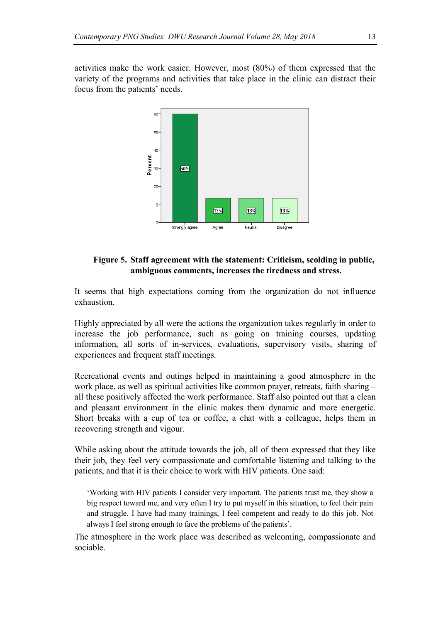activities make the work easier. However, most (80%) of them expressed that the variety of the programs and activities that take place in the clinic can distract their focus from the patients' needs.



## **Figure 5. Staff agreement with the statement: Criticism, scolding in public, ambiguous comments, increases the tiredness and stress.**

It seems that high expectations coming from the organization do not influence exhaustion.

Highly appreciated by all were the actions the organization takes regularly in order to increase the job performance, such as going on training courses, updating information, all sorts of in-services, evaluations, supervisory visits, sharing of experiences and frequent staff meetings.

Recreational events and outings helped in maintaining a good atmosphere in the work place, as well as spiritual activities like common prayer, retreats, faith sharing – all these positively affected the work performance. Staff also pointed out that a clean and pleasant environment in the clinic makes them dynamic and more energetic. Short breaks with a cup of tea or coffee, a chat with a colleague, helps them in recovering strength and vigour.

While asking about the attitude towards the job, all of them expressed that they like their job, they feel very compassionate and comfortable listening and talking to the patients, and that it is their choice to work with HIV patients. One said:

'Working with HIV patients I consider very important. The patients trust me, they show a big respect toward me, and very often I try to put myself in this situation, to feel their pain and struggle. I have had many trainings, I feel competent and ready to do this job. Not always I feel strong enough to face the problems of the patients'.

The atmosphere in the work place was described as welcoming, compassionate and sociable.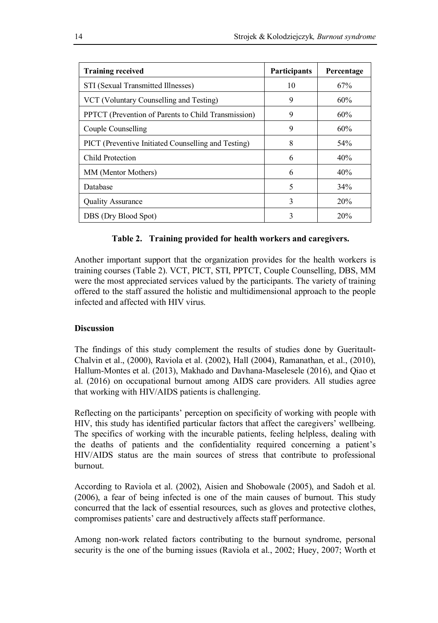| <b>Training received</b>                            | Participants | Percentage |
|-----------------------------------------------------|--------------|------------|
| STI (Sexual Transmitted Illnesses)                  | 10           | 67%        |
| VCT (Voluntary Counselling and Testing)             | 9            | 60%        |
| PPTCT (Prevention of Parents to Child Transmission) | 9            | 60%        |
| Couple Counselling                                  | 9            | 60%        |
| PICT (Preventive Initiated Counselling and Testing) | 8            | 54%        |
| Child Protection                                    | 6            | 40%        |
| MM (Mentor Mothers)                                 | 6            | 40%        |
| Database                                            | 5            | 34%        |
| <b>Quality Assurance</b>                            | 3            | 20%        |
| DBS (Dry Blood Spot)                                | 3            | 20%        |

## **Table 2. Training provided for health workers and caregivers.**

Another important support that the organization provides for the health workers is training courses (Table 2). VCT, PICT, STI, PPTCT, Couple Counselling, DBS, MM were the most appreciated services valued by the participants. The variety of training offered to the staff assured the holistic and multidimensional approach to the people infected and affected with HIV virus.

## **Discussion**

The findings of this study complement the results of studies done by Gueritault-Chalvin et al., (2000), Raviola et al. (2002), Hall (2004), Ramanathan, et al., (2010), Hallum-Montes et al. (2013), Makhado and Davhana-Maselesele (2016), and Qiao et al. (2016) on occupational burnout among AIDS care providers. All studies agree that working with HIV/AIDS patients is challenging.

Reflecting on the participants' perception on specificity of working with people with HIV, this study has identified particular factors that affect the caregivers' wellbeing. The specifics of working with the incurable patients, feeling helpless, dealing with the deaths of patients and the confidentiality required concerning a patient's HIV/AIDS status are the main sources of stress that contribute to professional burnout.

According to Raviola et al. (2002), Aisien and Shobowale (2005), and Sadoh et al. (2006), a fear of being infected is one of the main causes of burnout. This study concurred that the lack of essential resources, such as gloves and protective clothes, compromises patients' care and destructively affects staff performance.

Among non-work related factors contributing to the burnout syndrome, personal security is the one of the burning issues (Raviola et al., 2002; Huey, 2007; Worth et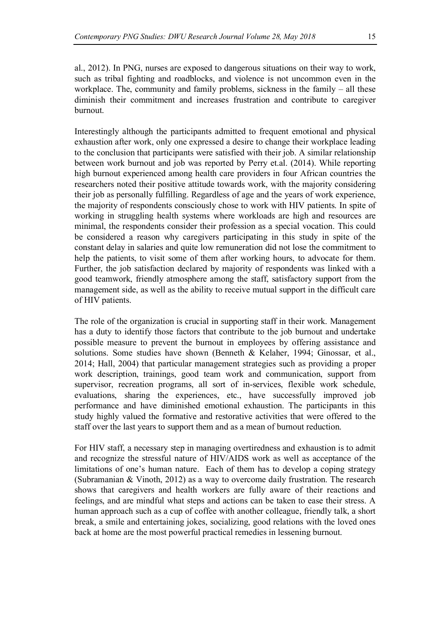al., 2012). In PNG, nurses are exposed to dangerous situations on their way to work, such as tribal fighting and roadblocks, and violence is not uncommon even in the workplace. The, community and family problems, sickness in the family – all these diminish their commitment and increases frustration and contribute to caregiver burnout.

Interestingly although the participants admitted to frequent emotional and physical exhaustion after work, only one expressed a desire to change their workplace leading to the conclusion that participants were satisfied with their job. A similar relationship between work burnout and job was reported by Perry et.al. (2014). While reporting high burnout experienced among health care providers in four African countries the researchers noted their positive attitude towards work, with the majority considering their job as personally fulfilling. Regardless of age and the years of work experience, the majority of respondents consciously chose to work with HIV patients. In spite of working in struggling health systems where workloads are high and resources are minimal, the respondents consider their profession as a special vocation. This could be considered a reason why caregivers participating in this study in spite of the constant delay in salaries and quite low remuneration did not lose the commitment to help the patients, to visit some of them after working hours, to advocate for them. Further, the job satisfaction declared by majority of respondents was linked with a good teamwork, friendly atmosphere among the staff, satisfactory support from the management side, as well as the ability to receive mutual support in the difficult care of HIV patients.

The role of the organization is crucial in supporting staff in their work. Management has a duty to identify those factors that contribute to the job burnout and undertake possible measure to prevent the burnout in employees by offering assistance and solutions. Some studies have shown (Benneth & Kelaher, 1994; Ginossar, et al., 2014; Hall, 2004) that particular management strategies such as providing a proper work description, trainings, good team work and communication, support from supervisor, recreation programs, all sort of in-services, flexible work schedule, evaluations, sharing the experiences, etc., have successfully improved job performance and have diminished emotional exhaustion. The participants in this study highly valued the formative and restorative activities that were offered to the staff over the last years to support them and as a mean of burnout reduction.

For HIV staff, a necessary step in managing overtiredness and exhaustion is to admit and recognize the stressful nature of HIV/AIDS work as well as acceptance of the limitations of one's human nature. Each of them has to develop a coping strategy (Subramanian & Vinoth, 2012) as a way to overcome daily frustration. The research shows that caregivers and health workers are fully aware of their reactions and feelings, and are mindful what steps and actions can be taken to ease their stress. A human approach such as a cup of coffee with another colleague, friendly talk, a short break, a smile and entertaining jokes, socializing, good relations with the loved ones back at home are the most powerful practical remedies in lessening burnout.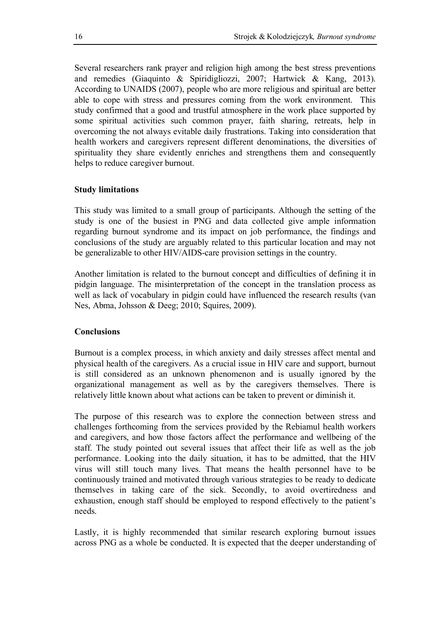Several researchers rank prayer and religion high among the best stress preventions and remedies (Giaquinto & Spiridigliozzi, 2007; Hartwick & Kang, 2013). According to UNAIDS (2007), people who are more religious and spiritual are better able to cope with stress and pressures coming from the work environment. This study confirmed that a good and trustful atmosphere in the work place supported by some spiritual activities such common prayer, faith sharing, retreats, help in overcoming the not always evitable daily frustrations. Taking into consideration that health workers and caregivers represent different denominations, the diversities of spirituality they share evidently enriches and strengthens them and consequently helps to reduce caregiver burnout.

#### **Study limitations**

This study was limited to a small group of participants. Although the setting of the study is one of the busiest in PNG and data collected give ample information regarding burnout syndrome and its impact on job performance, the findings and conclusions of the study are arguably related to this particular location and may not be generalizable to other HIV/AIDS-care provision settings in the country.

Another limitation is related to the burnout concept and difficulties of defining it in pidgin language. The misinterpretation of the concept in the translation process as well as lack of vocabulary in pidgin could have influenced the research results (van Nes, Abma, Johsson & Deeg; 2010; Squires, 2009).

#### **Conclusions**

Burnout is a complex process, in which anxiety and daily stresses affect mental and physical health of the caregivers. As a crucial issue in HIV care and support, burnout is still considered as an unknown phenomenon and is usually ignored by the organizational management as well as by the caregivers themselves. There is relatively little known about what actions can be taken to prevent or diminish it.

The purpose of this research was to explore the connection between stress and challenges forthcoming from the services provided by the Rebiamul health workers and caregivers, and how those factors affect the performance and wellbeing of the staff. The study pointed out several issues that affect their life as well as the job performance. Looking into the daily situation, it has to be admitted, that the HIV virus will still touch many lives. That means the health personnel have to be continuously trained and motivated through various strategies to be ready to dedicate themselves in taking care of the sick. Secondly, to avoid overtiredness and exhaustion, enough staff should be employed to respond effectively to the patient's needs.

Lastly, it is highly recommended that similar research exploring burnout issues across PNG as a whole be conducted. It is expected that the deeper understanding of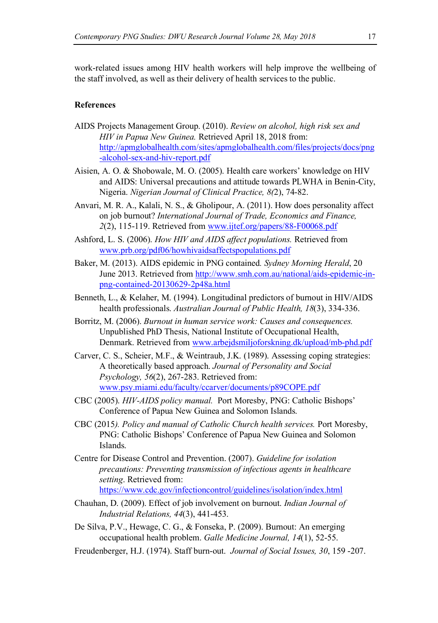work-related issues among HIV health workers will help improve the wellbeing of the staff involved, as well as their delivery of health services to the public.

#### **References**

- AIDS Projects Management Group. (2010). *Review on alcohol, high risk sex and HIV in Papua New Guinea.* Retrieved April 18, 2018 from: http://apmglobalhealth.com/sites/apmglobalhealth.com/files/projects/docs/png -alcohol-sex-and-hiv-report.pdf
- Aisien, A. O. & Shobowale, M. O. (2005). Health care workers' knowledge on HIV and AIDS: Universal precautions and attitude towards PLWHA in Benin-City, Nigeria. *Nigerian Journal of Clinical Practice, 8(*2), 74-82.
- Anvari, M. R. A., Kalali, N. S., & Gholipour, A. (2011). How does personality affect on job burnout? *International Journal of Trade, Economics and Finance, 2*(2), 115-119. Retrieved from www.ijtef.org/papers/88-F00068.pdf
- Ashford, L. S. (2006). *How HIV and AIDS affect populations.* Retrieved from www.prb.org/pdf06/howhivaidsaffectspopulations.pdf
- Baker, M. (2013). AIDS epidemic in PNG contained*. Sydney Morning Herald*, 20 June 2013. Retrieved from http://www.smh.com.au/national/aids-epidemic-inpng-contained-20130629-2p48a.html
- Benneth, L., & Kelaher, M. (1994). Longitudinal predictors of burnout in HIV/AIDS health professionals. *Australian Journal of Public Health, 18*(3), 334-336.
- Borritz, M. (2006). *Burnout in human service work: Causes and consequences.*  Unpublished PhD Thesis, National Institute of Occupational Health, Denmark. Retrieved from www.arbejdsmiljoforskning.dk/upload/mb-phd.pdf
- Carver, C. S., Scheier, M.F., & Weintraub, J.K. (1989). Assessing coping strategies: A theoretically based approach. *Journal of Personality and Social Psychology, 56*(2), 267-283. Retrieved from: www.psy.miami.edu/faculty/ccarver/documents/p89COPE.pdf
- CBC (2005). *HIV-AIDS policy manual.* Port Moresby, PNG: Catholic Bishops' Conference of Papua New Guinea and Solomon Islands.
- CBC (2015*). Policy and manual of Catholic Church health services.* Port Moresby, PNG: Catholic Bishops' Conference of Papua New Guinea and Solomon Islands.
- Centre for Disease Control and Prevention. (2007). *Guideline for isolation precautions: Preventing transmission of infectious agents in healthcare setting*. Retrieved from: https://www.cdc.gov/infectioncontrol/guidelines/isolation/index.html
- Chauhan, D. (2009). Effect of job involvement on burnout. *Indian Journal of Industrial Relations, 44*(3), 441-453.
- De Silva, P.V., Hewage, C. G., & Fonseka, P. (2009). Burnout: An emerging occupational health problem. *Galle Medicine Journal, 14*(1), 52-55.
- Freudenberger, H.J. (1974). Staff burn-out. *Journal of Social Issues, 30*, 159 -207.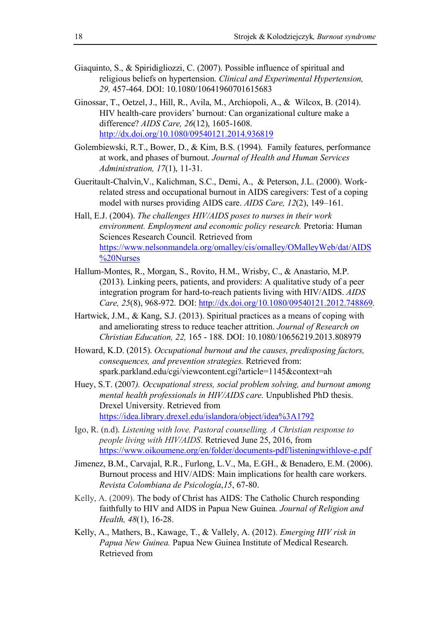- Giaquinto, S., & Spiridigliozzi, C. (2007). Possible influence of spiritual and religious beliefs on hypertension. *Clinical and Experimental Hypertension, 29,* 457-464. DOI: 10.1080/10641960701615683
- Ginossar, T., Oetzel, J., Hill, R., Avila, M., Archiopoli, A., & Wilcox, B. (2014). HIV health-care providers' burnout: Can organizational culture make a difference? *AIDS Care, 26*(12), 1605-1608. http://dx.doi.org/10.1080/09540121.2014.936819
- Golembiewski, R.T., Bower, D., & Kim, B.S. (1994). Family features, performance at work, and phases of burnout. *Journal of Health and Human Services Administration, 17*(1), 11-31.
- Gueritault-Chalvin,V., Kalichman, S.C., Demi, A., & Peterson, J.L. (2000). Workrelated stress and occupational burnout in AIDS caregivers: Test of a coping model with nurses providing AIDS care. *AIDS Care, 12*(2), 149–161.
- Hall, E.J. (2004). *The challenges HIV/AIDS poses to nurses in their work environment. Employment and economic policy research.* Pretoria: Human Sciences Research Council*.* Retrieved from https://www.nelsonmandela.org/omalley/cis/omalley/OMalleyWeb/dat/AIDS %20Nurses
- Hallum-Montes, R., Morgan, S., Rovito, H.M., Wrisby, C., & Anastario, M.P. (2013). Linking peers, patients, and providers: A qualitative study of a peer integration program for hard-to-reach patients living with HIV/AIDS. *AIDS Care, 25*(8), 968-972. DOI: http://dx.doi.org/10.1080/09540121.2012.748869.
- Hartwick, J.M., & Kang, S.J. (2013). Spiritual practices as a means of coping with and ameliorating stress to reduce teacher attrition. *Journal of Research on Christian Education, 22,* 165 - 188. DOI: 10.1080/10656219.2013.808979
- Howard, K.D. (2015). *Occupational burnout and the causes, predisposing factors, consequences, and prevention strategies.* Retrieved from: spark.parkland.edu/cgi/viewcontent.cgi?article=1145&context=ah
- Huey, S.T. (2007*). Occupational stress, social problem solving, and burnout among mental health professionals in HIV/AIDS care.* Unpublished PhD thesis. Drexel University. Retrieved from https://idea.library.drexel.edu/islandora/object/idea%3A1792
- Igo, R. (n.d). *Listening with love. Pastoral counselling. A Christian response to people living with HIV/AIDS*. Retrieved June 25, 2016, from https://www.oikoumene.org/en/folder/documents-pdf/listeningwithlove-e.pdf
- Jimenez, B.M., Carvajal, R.R., Furlong, L.V., Ma, E.GH., & Benadero, E.M. (2006). Burnout process and HIV/AIDS: Main implications for health care workers. *Revista Colombiana de Psicología*,*15*, 67-80.
- Kelly, A. (2009). The body of Christ has AIDS: The Catholic Church responding faithfully to HIV and AIDS in Papua New Guinea*. Journal of Religion and Health, 48*(1), 16-28.
- Kelly, A., Mathers, B., Kawage, T., & Vallely, A. (2012). *Emerging HIV risk in Papua New Guinea.* Papua New Guinea Institute of Medical Research. Retrieved from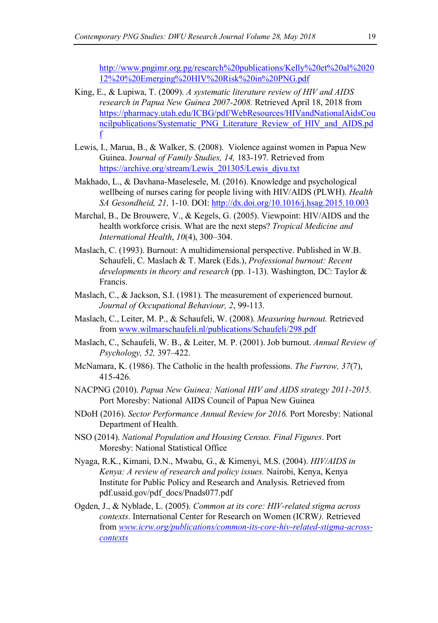http://www.pngimr.org.pg/research%20publications/Kelly%20et%20al%2020 12%20%20Emerging%20HIV%20Risk%20in%20PNG.pdf

- King, E., & Lupiwa, T. (2009). *A systematic literature review of HIV and AIDS research in Papua New Guinea 2007-2008.* Retrieved April 18, 2018 from https://pharmacy.utah.edu/ICBG/pdf/WebResources/HIVandNationalAidsCou ncilpublications/Systematic\_PNG\_Literature\_Review\_of\_HIV\_and\_AIDS.pd f
- Lewis, I., Marua, B., & Walker, S. (2008). Violence against women in Papua New Guinea. J*ournal of Family Studies, 14,* 183-197. Retrieved from https://archive.org/stream/Lewis\_201305/Lewis\_djvu.txt
- Makhado, L., & Davhana-Maselesele, M. (2016). Knowledge and psychological wellbeing of nurses caring for people living with HIV/AIDS (PLWH). *Health SA Gesondheid, 21,* 1-10. DOI: http://dx.doi.org/10.1016/j.hsag.2015.10.003
- Marchal, B., De Brouwere, V., & Kegels, G. (2005). Viewpoint: HIV/AIDS and the health workforce crisis. What are the next steps? *Tropical Medicine and International Health*, *10*(4), 300–304.
- Maslach, C. (1993). Burnout: A multidimensional perspective. Published in W.B. Schaufeli, C. Maslach & T. Marek (Eds.), *Professional burnout: Recent developments in theory and research* (pp. 1-13). Washington, DC: Taylor & Francis.
- Maslach, C., & Jackson, S.I. (1981). The measurement of experienced burnout. *Journal of Occupational Behaviour, 2*, 99-113.
- Maslach, C., Leiter, M. P., & Schaufeli, W. (2008). *Measuring burnout.* Retrieved from www.wilmarschaufeli.nl/publications/Schaufeli/298.pdf
- Maslach, C., Schaufeli, W. B., & Leiter, M. P. (2001). Job burnout. *Annual Review of Psychology, 52,* 397–422.
- McNamara, K. (1986). The Catholic in the health professions. *The Furrow, 37*(7), 415-426.
- NACPNG (2010). *Papua New Guinea: National HIV and AIDS strategy 2011-2015.*  Port Moresby: National AIDS Council of Papua New Guinea
- NDoH (2016). *Sector Performance Annual Review for 2016.* Port Moresby: National Department of Health.
- NSO (2014). *National Population and Housing Census. Final Figures*. Port Moresby: National Statistical Office
- Nyaga, R.K., Kimani, D.N., Mwabu, G., & Kimenyi, M.S. (2004). *HIV/AIDS in Kenya: A review of research and policy issues.* Nairobi, Kenya, Kenya Institute for Public Policy and Research and Analysis. Retrieved from pdf.usaid.gov/pdf\_docs/Pnads077.pdf
- Ogden, J., & Nyblade, L. (2005). *Common at its core: HIV-related stigma across contexts*. International Center for Research on Women (ICRW*).* Retrieved from *www.icrw.org/publications/common-its-core-hiv-related-stigma-acrosscontexts*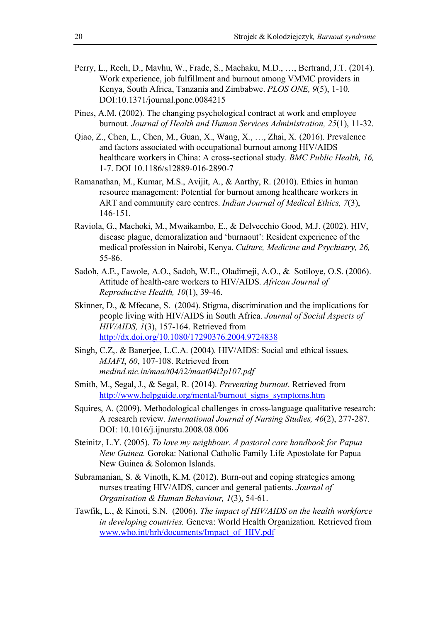- Perry, L., Rech, D., Mavhu, W., Frade, S., Machaku, M.D., …, Bertrand, J.T. (2014). Work experience, job fulfillment and burnout among VMMC providers in Kenya, South Africa, Tanzania and Zimbabwe. *PLOS ONE, 9*(5), 1-10. DOI:10.1371/journal.pone.0084215
- Pines, A.M. (2002). The changing psychological contract at work and employee burnout. *Journal of Health and Human Services Administration, 25*(1), 11-32.
- Qiao, Z., Chen, L., Chen, M., Guan, X., Wang, X., …, Zhai, X. (2016). Prevalence and factors associated with occupational burnout among HIV/AIDS healthcare workers in China: A cross-sectional study. *BMC Public Health, 16,*  1-7. DOI 10.1186/s12889-016-2890-7
- Ramanathan, M., Kumar, M.S., Avijit, A., & Aarthy, R. (2010). Ethics in human resource management: Potential for burnout among healthcare workers in ART and community care centres. *Indian Journal of Medical Ethics, 7*(3), 146-151.
- Raviola, G., Machoki, M., Mwaikambo, E., & Delvecchio Good, M.J. (2002). HIV, disease plague, demoralization and 'burnaout': Resident experience of the medical profession in Nairobi, Kenya. *Culture, Medicine and Psychiatry, 26,*  55-86.
- Sadoh, A.E., Fawole, A.O., Sadoh, W.E., Oladimeji, A.O., & Sotiloye, O.S. (2006). Attitude of health-care workers to HIV/AIDS. *African Journal of Reproductive Health, 10*(1), 39-46.
- Skinner, D., & Mfecane, S. (2004). Stigma, discrimination and the implications for people living with HIV/AIDS in South Africa. *Journal of Social Aspects of HIV/AIDS, 1*(3), 157-164. Retrieved from http://dx.doi.org/10.1080/17290376.2004.9724838
- Singh, C.Z,. & Banerjee, L.C.A. (2004). HIV/AIDS: Social and ethical issues. *MJAFI*, *60*, 107-108. Retrieved from *medind.nic.in/maa/t04/i2/maat04i2p107.pdf*
- Smith, M., Segal, J., & Segal, R. (2014). *Preventing burnout*. Retrieved from http://www.helpguide.org/mental/burnout\_signs\_symptoms.htm
- Squires, A. (2009). Methodological challenges in cross-language qualitative research: A research review. *International Journal of Nursing Studies, 46*(2), 277-287. DOI: 10.1016/j.ijnurstu.2008.08.006
- Steinitz, L.Y. (2005). *To love my neighbour. A pastoral care handbook for Papua New Guinea.* Goroka: National Catholic Family Life Apostolate for Papua New Guinea & Solomon Islands.
- Subramanian, S. & Vinoth, K.M. (2012). Burn-out and coping strategies among nurses treating HIV/AIDS, cancer and general patients. *Journal of Organisation & Human Behaviour, 1*(3), 54-61.
- Tawfik, L., & Kinoti, S.N. (2006). *The impact of HIV/AIDS on the health workforce in developing countries.* Geneva: World Health Organization. Retrieved from www.who.int/hrh/documents/Impact\_of\_HIV.pdf